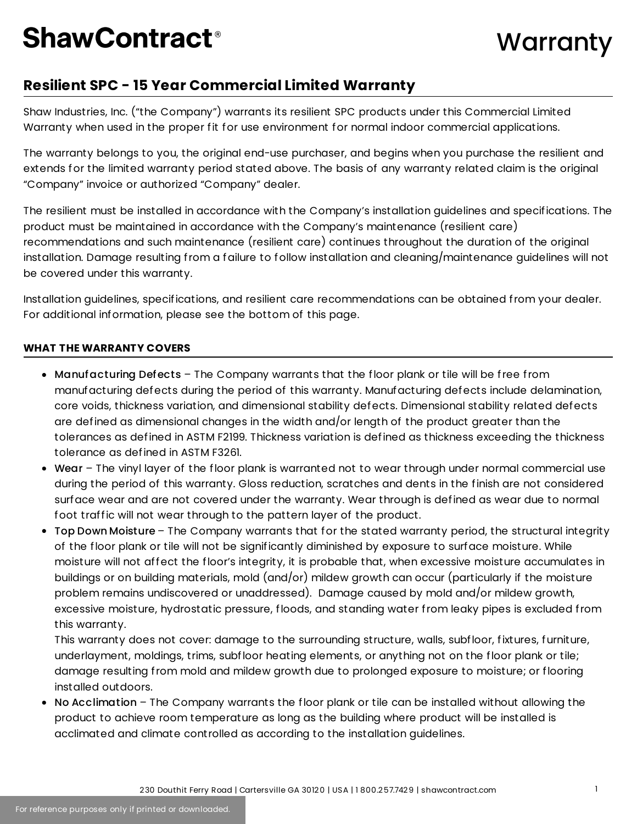## **ShawContract<sup>®</sup>**

### **Resilient SPC - 15 Year Commercial Limited Warranty**

Shaw Industries, Inc. ("the Company") warrants its resilient SPC products under this Commercial Limited Warranty when used in the proper fit for use environment for normal indoor commercial applications.

The warranty belongs to you, the original end-use purchaser, and begins when you purchase the resilient and extends for the limited warranty period stated above. The basis of any warranty related claim is the original "Company" invoice or authorized "Company" dealer.

The resilient must be installed in accordance with the Company's installation guidelines and specifications. The product must be maintained in accordance with the Company's maintenance (resilient care) recommendations and such maintenance (resilient care) continues throughout the duration of the original installation. Damage resulting from a failure to follow installation and cleaning/maintenance guidelines will not be covered under this warranty.

Installation guidelines, specifications, and resilient care recommendations can be obtained from your dealer. For additional information, please see the bottom of this page.

#### **WHAT THE WARRANTY COVERS**

- Manufacturing Defects The Company warrants that the floor plank or tile will be free from manufacturing defects during the period of this warranty. Manufacturing defects include delamination, core voids, thickness variation, and dimensional stability defects. Dimensional stability related defects are defined as dimensional changes in the width and/or length of the product greater than the tolerances as defined in ASTM F2199. Thickness variation is defined as thickness exceeding the thickness tolerance as defined in ASTM F3261.
- Wear The vinyl layer of the floor plank is warranted not to wear through under normal commercial use during the period of this warranty. Gloss reduction, scratches and dents in the finish are not considered surface wear and are not covered under the warranty. Wear through is defined as wear due to normal foot traffic will not wear through to the pattern layer of the product.
- Top Down Moisture The Company warrants that for the stated warranty period, the structural integrity of the floor plank or tile will not be significantly diminished by exposure to surface moisture. While moisture will not affect the floor's integrity, it is probable that, when excessive moisture accumulates in buildings or on building materials, mold (and/or) mildew growth can occur (particularly if the moisture problem remains undiscovered or unaddressed). Damage caused by mold and/or mildew growth, excessive moisture, hydrostatic pressure, floods, and standing water from leaky pipes is excluded from this warranty.

This warranty does not cover: damage to the surrounding structure, walls, subfloor, fixtures, furniture, underlayment, moldings, trims, subfloor heating elements, or anything not on the floor plank or tile; damage resulting from mold and mildew growth due to prolonged exposure to moisture; or flooring installed outdoors.

• No Acclimation – The Company warrants the floor plank or tile can be installed without allowing the product to achieve room temperature as long as the building where product will be installed is acclimated and climate controlled as according to the installation guidelines.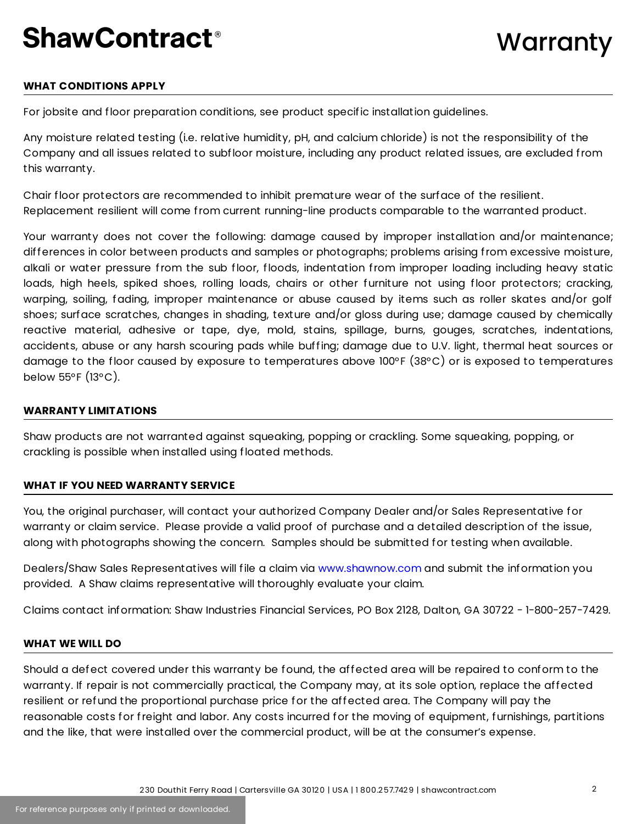## **ShawContract<sup>®</sup>**

#### **WHAT CONDITIONS APPLY**

For jobsite and floor preparation conditions, see product specific installation guidelines.

Any moisture related testing (i.e. relative humidity, pH, and calcium chloride) is not the responsibility of the Company and all issues related to subfloor moisture, including any product related issues, are excluded from this warranty.

Chair floor protectors are recommended to inhibit premature wear of the surface of the resilient. Replacement resilient will come from current running-line products comparable to the warranted product.

Your warranty does not cover the following: damage caused by improper installation and/or maintenance; differences in color between products and samples or photographs; problems arising from excessive moisture, alkali or water pressure from the sub floor, floods, indentation from improper loading including heavy static loads, high heels, spiked shoes, rolling loads, chairs or other furniture not using floor protectors; cracking, warping, soiling, fading, improper maintenance or abuse caused by items such as roller skates and/or golf shoes; surface scratches, changes in shading, texture and/or gloss during use; damage caused by chemically reactive material, adhesive or tape, dye, mold, stains, spillage, burns, gouges, scratches, indentations, accidents, abuse or any harsh scouring pads while buffing; damage due to U.V. light, thermal heat sources or damage to the floor caused by exposure to temperatures above 100°F (38°C) or is exposed to temperatures below 55°F (13°C).

#### **WARRANTY LIMITATIONS**

Shaw products are not warranted against squeaking, popping or crackling. Some squeaking, popping, or crackling is possible when installed using floated methods.

#### **WHAT IF YOU NEED WARRANTY SERVICE**

You, the original purchaser, will contact your authorized Company Dealer and/or Sales Representative for warranty or claim service. Please provide a valid proof of purchase and a detailed description of the issue, along with photographs showing the concern. Samples should be submitted for testing when available.

Dealers/Shaw Sales Representatives will file a claim via [www.shawnow.com](https://www.shawonline.com/) and submit the information you provided. A Shaw claims representative will thoroughly evaluate your claim.

Claims contact information: Shaw Industries Financial Services, PO Box 2128, Dalton, GA 30722 - 1-800-257-7429.

#### **WHAT WE WILL DO**

Should a defect covered under this warranty be found, the affected area will be repaired to conform to the warranty. If repair is not commercially practical, the Company may, at its sole option, replace the affected resilient or refund the proportional purchase price for the affected area. The Company will pay the reasonable costs for freight and labor. Any costs incurred for the moving of equipment, furnishings, partitions and the like, that were installed over the commercial product, will be at the consumer's expense.